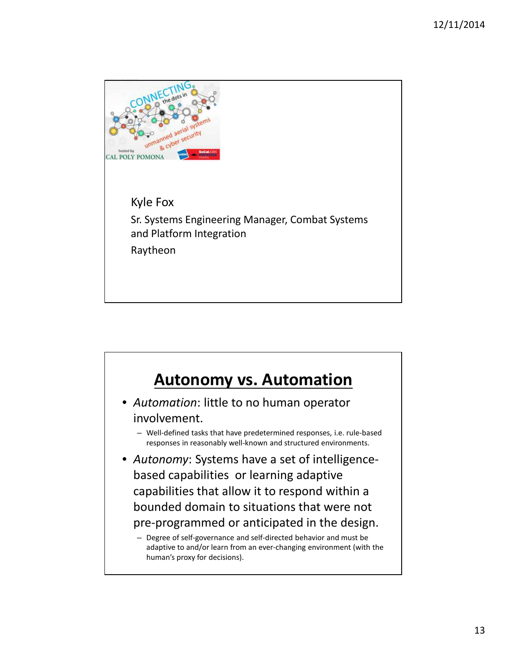